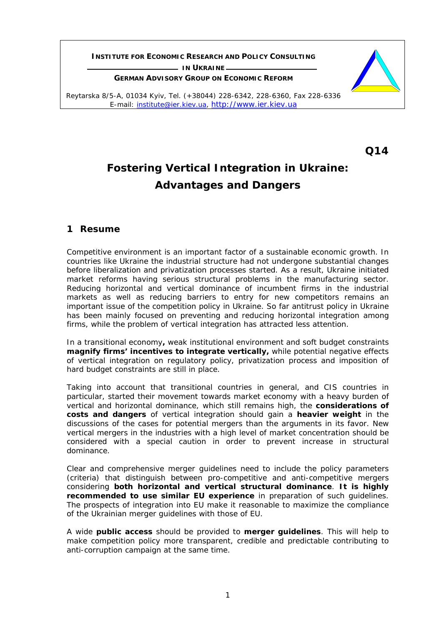**INSTITUTE FOR ECONOMIC RESEARCH AND POLICY CONSULTING L** IN UKRAINE

**GERMAN ADVISORY GROUP ON ECONOMIC REFORM**



**Q14** 

# **Fostering Vertical Integration in Ukraine: Advantages and Dangers**

# **1 Resume**

Competitive environment is an important factor of a sustainable economic growth. In countries like Ukraine the industrial structure had not undergone substantial changes before liberalization and privatization processes started. As a result, Ukraine initiated market reforms having serious structural problems in the manufacturing sector. Reducing horizontal and vertical dominance of incumbent firms in the industrial markets as well as reducing barriers to entry for new competitors remains an important issue of the competition policy in Ukraine. So far antitrust policy in Ukraine has been mainly focused on preventing and reducing horizontal integration among firms, while the problem of vertical integration has attracted less attention.

In a transitional economy**,** weak institutional environment and soft budget constraints **magnify firms' incentives to integrate vertically,** while potential negative effects of vertical integration on regulatory policy, privatization process and imposition of hard budget constraints are still in place.

Taking into account that transitional countries in general, and CIS countries in particular, started their movement towards market economy with a heavy burden of vertical and horizontal dominance, which still remains high, the *considerations of costs and dangers* of vertical integration should gain a *heavier weight* in the discussions of the cases for potential mergers than the arguments in its favor. New vertical mergers in the industries with a high level of market concentration should be considered with a special caution in order to prevent increase in structural dominance.

Clear and comprehensive merger guidelines need to include the policy parameters (criteria) that distinguish between pro-competitive and anti-competitive mergers considering **both horizontal and vertical structural dominance**. *It is highly recommended to use similar EU experience* in preparation of such guidelines. The prospects of integration into EU make it reasonable to maximize the compliance of the Ukrainian merger guidelines with those of EU.

A wide *public access* should be provided to *merger guidelines*. This will help to make competition policy more transparent, credible and predictable contributing to anti-corruption campaign at the same time.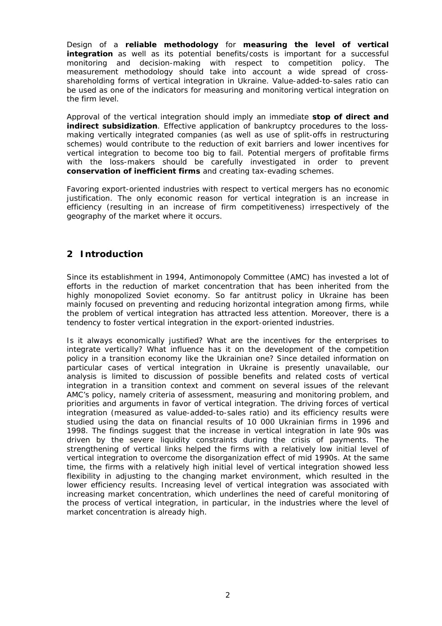Design of a *reliable methodology* for *measuring the level of vertical integration* as well as its potential benefits/costs is important for a successful monitoring and decision-making with respect to competition policy. The measurement methodology should take into account a wide spread of crossshareholding forms of vertical integration in Ukraine. Value-added-to-sales ratio can be used as one of the indicators for measuring and monitoring vertical integration on the firm level.

Approval of the vertical integration should imply an immediate *stop of direct and indirect subsidization*. Effective application of bankruptcy procedures to the lossmaking vertically integrated companies (as well as use of split-offs in restructuring schemes) would contribute to the reduction of exit barriers and lower incentives for vertical integration to become too big to fail. Potential mergers of profitable firms with the loss-makers should be carefully investigated in order to prevent *conservation of inefficient firms* and creating tax-evading schemes.

Favoring export-oriented industries with respect to vertical mergers has no economic justification. The only economic reason for vertical integration is an increase in efficiency (resulting in an increase of firm competitiveness) irrespectively of the geography of the market where it occurs.

# **2 Introduction**

Since its establishment in 1994, Antimonopoly Committee (AMC) has invested a lot of efforts in the reduction of market concentration that has been inherited from the highly monopolized Soviet economy. So far antitrust policy in Ukraine has been mainly focused on preventing and reducing horizontal integration among firms, while the problem of vertical integration has attracted less attention. Moreover, there is a tendency to foster vertical integration in the export-oriented industries.

Is it always economically justified? What are the incentives for the enterprises to integrate vertically? What influence has it on the development of the competition policy in a transition economy like the Ukrainian one? Since detailed information on particular cases of vertical integration in Ukraine is presently unavailable, our analysis is limited to discussion of possible benefits and related costs of vertical integration in a transition context and comment on several issues of the relevant AMC's policy, namely criteria of assessment, measuring and monitoring problem, and priorities and arguments in favor of vertical integration. The driving forces of vertical integration (measured as value-added-to-sales ratio) and its efficiency results were studied using the data on financial results of 10 000 Ukrainian firms in 1996 and 1998. The findings suggest that the increase in vertical integration in late 90s was driven by the severe liquidity constraints during the crisis of payments. The strengthening of vertical links helped the firms with a relatively low initial level of vertical integration to overcome the disorganization effect of mid 1990s. At the same time, the firms with a relatively high initial level of vertical integration showed less flexibility in adjusting to the changing market environment, which resulted in the lower efficiency results. Increasing level of vertical integration was associated with increasing market concentration, which underlines the need of careful monitoring of the process of vertical integration, in particular, in the industries where the level of market concentration is already high.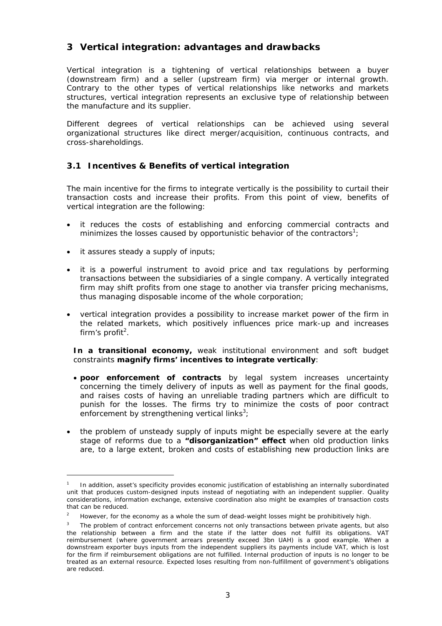# **3 Vertical integration: advantages and drawbacks**

Vertical integration is a tightening of vertical relationships between a buyer (downstream firm) and a seller (upstream firm) via merger or internal growth. Contrary to the other types of vertical relationships like networks and markets structures, vertical integration represents an exclusive type of relationship between the manufacture and its supplier.

Different degrees of vertical relationships can be achieved using several organizational structures like direct merger/acquisition, continuous contracts, and cross-shareholdings.

# **3.1 Incentives & Benefits of vertical integration**

The main incentive for the firms to integrate vertically is the possibility to curtail their transaction costs and increase their profits. From this point of view, benefits of vertical integration are the following:

- it reduces the costs of establishing and enforcing commercial contracts and minimizes the losses caused by opportunistic behavior of the contractors<sup>1</sup>;
- it assures steady a supply of inputs;

ł

- it is a powerful instrument to avoid price and tax regulations by performing transactions between the subsidiaries of a single company. A vertically integrated firm may shift profits from one stage to another via transfer pricing mechanisms, thus managing disposable income of the whole corporation;
- vertical integration provides a possibility to increase market power of the firm in the related markets, which positively influences price mark-up and increases firm's profit<sup>2</sup>.

**In a transitional economy,** weak institutional environment and soft budget constraints **magnify firms' incentives to integrate vertically**:

- **poor enforcement of contracts** by legal system increases uncertainty concerning the timely delivery of inputs as well as payment for the final goods, and raises costs of having an unreliable trading partners which are difficult to punish for the losses. The firms try to minimize the costs of poor contract enforcement by strengthening vertical links<sup>3</sup>;
- the problem of unsteady supply of inputs might be especially severe at the early stage of reforms due to a **"disorganization" effect** when old production links are, to a large extent, broken and costs of establishing new production links are

<sup>1</sup> In addition, asset's specificity provides economic justification of establishing an internally subordinated unit that produces custom-designed inputs instead of negotiating with an independent supplier. Quality considerations, information exchange, extensive coordination also might be examples of transaction costs that can be reduced.

 $\overline{2}$ However, for the economy as a whole the sum of dead-weight losses might be prohibitively high.

<sup>3</sup> The problem of contract enforcement concerns not only transactions between private agents, but also the relationship between a firm and the state if the latter does not fulfill its obligations. VAT reimbursement (where government arrears presently exceed 3bn UAH) is a good example. When a downstream exporter buys inputs from the independent suppliers its payments include VAT, which is lost for the firm if reimbursement obligations are not fulfilled. Internal production of inputs is no longer to be treated as an external resource. Expected loses resulting from non-fulfillment of government's obligations are reduced.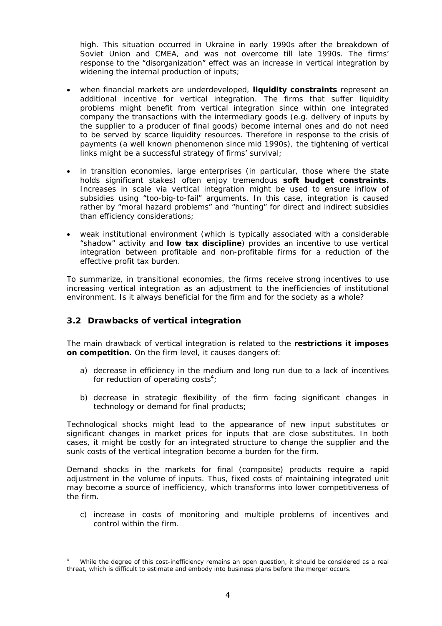high. This situation occurred in Ukraine in early 1990s after the breakdown of Soviet Union and CMEA, and was not overcome till late 1990s. The firms' response to the "disorganization" effect was an increase in vertical integration by widening the internal production of inputs;

- when financial markets are underdeveloped, **liquidity constraints** represent an additional incentive for vertical integration. The firms that suffer liquidity problems might benefit from vertical integration since within one integrated company the transactions with the intermediary goods (e.g. delivery of inputs by the supplier to a producer of final goods) become internal ones and do not need to be served by scarce liquidity resources. Therefore in response to the crisis of payments (a well known phenomenon since mid 1990s), the tightening of vertical links might be a successful strategy of firms' survival;
- in transition economies, large enterprises (in particular, those where the state holds significant stakes) often enjoy tremendous **soft budget constraints**. Increases in scale via vertical integration might be used to ensure inflow of subsidies using "too-big-to-fail" arguments. In this case, integration is caused rather by "moral hazard problems" and "hunting" for direct and indirect subsidies than efficiency considerations;
- weak institutional environment (which is typically associated with a considerable "shadow" activity and **low tax discipline**) provides an incentive to use vertical integration between profitable and non-profitable firms for a reduction of the effective profit tax burden.

To summarize, in transitional economies, the firms receive strong incentives to use increasing vertical integration as an adjustment to the inefficiencies of institutional environment. Is it always beneficial for the firm and for the society as a whole?

#### **3.2 Drawbacks of vertical integration**

j.

The main drawback of vertical integration is related to the **restrictions it imposes on competition**. On the firm level, it causes dangers of:

- a) decrease in efficiency in the medium and long run due to a lack of incentives for reduction of operating costs<sup>4</sup>;
- b) decrease in strategic flexibility of the firm facing significant changes in technology or demand for final products;

Technological shocks might lead to the appearance of new input substitutes or significant changes in market prices for inputs that are close substitutes. In both cases, it might be costly for an integrated structure to change the supplier and the sunk costs of the vertical integration become a burden for the firm.

Demand shocks in the markets for final (composite) products require a rapid adjustment in the volume of inputs. Thus, fixed costs of maintaining integrated unit may become a source of inefficiency, which transforms into lower competitiveness of the firm.

c) increase in costs of monitoring and multiple problems of incentives and control within the firm.

<sup>4</sup> While the degree of this cost-inefficiency remains an open question, it should be considered as a real threat, which is difficult to estimate and embody into business plans before the merger occurs.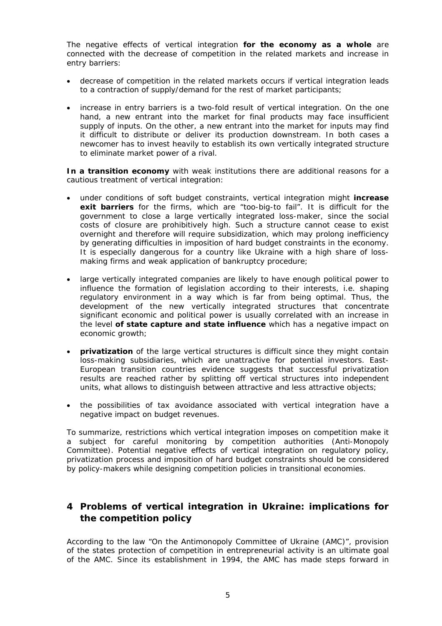The negative effects of vertical integration **for the economy as a whole** are connected with the decrease of competition in the related markets and increase in entry barriers:

- decrease of competition in the related markets occurs if vertical integration leads to a contraction of supply/demand for the rest of market participants;
- increase in entry barriers is a two-fold result of vertical integration. On the one hand, a new entrant into the market for final products may face insufficient supply of inputs. On the other, a new entrant into the market for inputs may find it difficult to distribute or deliver its production downstream. In both cases a newcomer has to invest heavily to establish its own vertically integrated structure to eliminate market power of a rival.

**In a transition economy** with weak institutions there are additional reasons for a cautious treatment of vertical integration:

- under conditions of soft budget constraints, vertical integration might **increase exit barriers** for the firms, which are "too-big-to fail". It is difficult for the government to close a large vertically integrated loss-maker, since the social costs of closure are prohibitively high. Such a structure cannot cease to exist overnight and therefore will require subsidization, which may prolong inefficiency by generating difficulties in imposition of hard budget constraints in the economy. It is especially dangerous for a country like Ukraine with a high share of lossmaking firms and weak application of bankruptcy procedure;
- large vertically integrated companies are likely to have enough political power to influence the formation of legislation according to their interests, i.e. shaping regulatory environment in a way which is far from being optimal. Thus, the development of the new vertically integrated structures that concentrate significant economic and political power is usually correlated with an increase in the level **of state capture and state influence** which has a negative impact on economic growth;
- **privatization** of the large vertical structures is difficult since they might contain loss-making subsidiaries, which are unattractive for potential investors. East-European transition countries evidence suggests that successful privatization results are reached rather by splitting off vertical structures into independent units, what allows to distinguish between attractive and less attractive objects;
- the possibilities of tax avoidance associated with vertical integration have a negative impact on budget revenues.

To summarize, restrictions which vertical integration imposes on competition make it a subject for careful monitoring by competition authorities (Anti-Monopoly Committee). Potential negative effects of vertical integration on regulatory policy, privatization process and imposition of hard budget constraints should be considered by policy-makers while designing competition policies in transitional economies.

# **4 Problems of vertical integration in Ukraine: implications for the competition policy**

According to the law "On the Antimonopoly Committee of Ukraine (AMC)", provision of the states protection of competition in entrepreneurial activity is an ultimate goal of the AMC. Since its establishment in 1994, the AMC has made steps forward in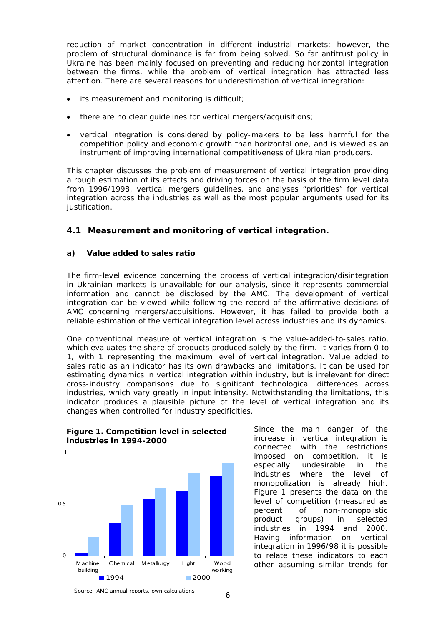reduction of market concentration in different industrial markets; however, the problem of structural dominance is far from being solved. So far antitrust policy in Ukraine has been mainly focused on preventing and reducing horizontal integration between the firms, while the problem of vertical integration has attracted less attention. There are several reasons for underestimation of vertical integration:

- its measurement and monitoring is difficult;
- there are no clear quidelines for vertical mergers/acquisitions;
- vertical integration is considered by policy-makers to be less harmful for the competition policy and economic growth than horizontal one, and is viewed as an instrument of improving international competitiveness of Ukrainian producers.

This chapter discusses the problem of measurement of vertical integration providing a rough estimation of its effects and driving forces on the basis of the firm level data from 1996/1998, vertical mergers guidelines, and analyses "priorities" for vertical integration across the industries as well as the most popular arguments used for its justification.

# **4.1 Measurement and monitoring of vertical integration.**

#### **a) Value added to sales ratio**

The firm-level evidence concerning the process of vertical integration/disintegration in Ukrainian markets is unavailable for our analysis, since it represents commercial information and cannot be disclosed by the AMC. The development of vertical integration can be viewed while following the record of the affirmative decisions of AMC concerning mergers/acquisitions. However, it has failed to provide both a reliable estimation of the vertical integration level across industries and its dynamics.

One conventional measure of vertical integration is the value-added-to-sales ratio, which evaluates the share of products produced solely by the firm. It varies from 0 to 1, with 1 representing the maximum level of vertical integration. Value added to sales ratio as an indicator has its own drawbacks and limitations. It can be used for estimating dynamics in vertical integration within industry, but is irrelevant for direct cross-industry comparisons due to significant technological differences across industries, which vary greatly in input intensity. Notwithstanding the limitations, this indicator produces a plausible picture of the level of vertical integration and its changes when controlled for industry specificities.



**Figure 1. Competition level in selected industries in 1994-2000** 

Since the main danger of the increase in vertical integration is connected with the restrictions imposed on competition, it is especially undesirable in the industries where the level of monopolization is already high. Figure 1 presents the data on the level of competition (measured as percent of non-monopolistic product groups) in selected industries in 1994 and 2000. Having information on vertical integration in 1996/98 it is possible to relate these indicators to each other assuming similar trends for

*Source:* AMC annual reports, own calculations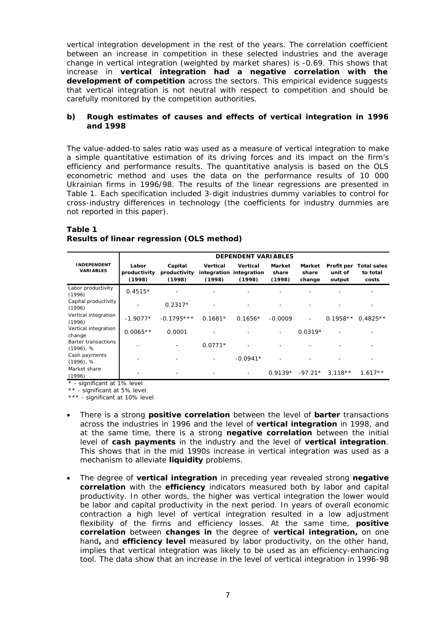vertical integration development in the rest of the years. The correlation coefficient between an increase in competition in these selected industries and the average change in vertical integration (weighted by market shares) is -0.69. This shows that increase in **vertical integration had a negative correlation with the development of competition** across the sectors. This empirical evidence suggests that vertical integration is not neutral with respect to competition and should be carefully monitored by the competition authorities.

#### **b) Rough estimates of causes and effects of vertical integration in 1996 and 1998**

The value-added-to sales ratio was used as a measure of vertical integration to make a simple quantitative estimation of its driving forces and its impact on the firm's efficiency and performance results. The quantitative analysis is based on the OLS econometric method and uses the data on the performance results of 10 000 Ukrainian firms in 1996/98. The results of the linear regressions are presented in Table 1. Each specification included 3-digit industries dummy variables to control for cross-industry differences in technology (the coefficients for industry dummies are not reported in this paper).

#### **Table 1 Results of linear regression (OLS method)**

|                                        | <b>DEPENDENT VARIABLES</b>      |                                   |                    |                                               |                           |                           |                                 |                                         |
|----------------------------------------|---------------------------------|-----------------------------------|--------------------|-----------------------------------------------|---------------------------|---------------------------|---------------------------------|-----------------------------------------|
| <b>INDEPENDENT</b><br><b>VARIABLES</b> | Labor<br>productivity<br>(1998) | Capital<br>productivity<br>(1998) | Vertical<br>(1998) | Vertical<br>integration integration<br>(1998) | Market<br>share<br>(1998) | Market<br>share<br>change | Profit per<br>unit of<br>output | <b>Total sales</b><br>to total<br>costs |
| Labor productivity<br>(1996)           | $0.4515*$                       |                                   |                    |                                               |                           |                           |                                 |                                         |
| Capital productivity<br>(1996)         |                                 | $0.2317*$                         |                    |                                               |                           |                           |                                 |                                         |
| Vertical integration<br>(1996)         | $-1.9077*$                      | $-0.1795***$                      | $0.1681*$          | $0.1656*$                                     | $-0.0009$                 |                           | $0.1958**$                      | $0.4825**$                              |
| Vertical integration<br>change         | $0.0065**$                      | 0.0001                            |                    |                                               | ۰                         | $0.0319*$                 |                                 |                                         |
| Barter transactions<br>$(1996)$ , %    |                                 |                                   | $0.0771*$          |                                               |                           |                           |                                 |                                         |
| Cash payments<br>$(1996)$ , %          |                                 |                                   |                    | $-0.0941*$                                    |                           |                           |                                 |                                         |
| Market share<br>(1996)                 |                                 |                                   |                    |                                               | $0.9139*$                 | $-97.21*$                 | $3.118**$                       | $1.617**$                               |

\* - significant at 1% level

\*\* - significant at 5% level

\*\*\* - significant at 10% level

- There is a strong **positive correlation** between the level of **barter** transactions across the industries in 1996 and the level of **vertical integration** in 1998, and at the same time, there is a strong **negative correlation** between the initial level of **cash payments** in the industry and the level of **vertical integration**. This shows that in the mid 1990s increase in vertical integration was used as a mechanism to alleviate **liquidity** problems.
- The degree of **vertical integration** in preceding year revealed strong **negative correlation** with the **efficiency** indicators measured both by labor and capital productivity. In other words, the higher was vertical integration the lower would be labor and capital productivity in the next period. In years of overall economic contraction a high level of vertical integration resulted in a low adjustment flexibility of the firms and efficiency losses. At the same time, **positive correlation** between **changes in** the degree of **vertical integration,** on one hand**,** and **efficiency level** measured by labor productivity, on the other hand, implies that vertical integration was likely to be used as an efficiency-enhancing tool. The data show that an increase in the level of vertical integration in 1996-98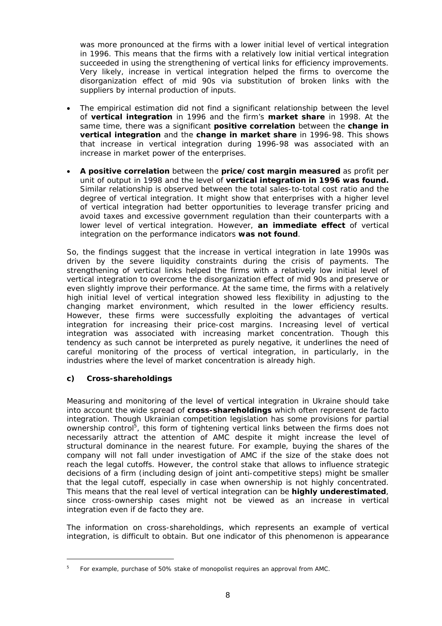was more pronounced at the firms with a lower initial level of vertical integration in 1996. This means that the firms with a relatively low initial vertical integration succeeded in using the strengthening of vertical links for efficiency improvements. Very likely, increase in vertical integration helped the firms to overcome the disorganization effect of mid 90s via substitution of broken links with the suppliers by internal production of inputs.

- The empirical estimation did not find a significant relationship between the level of **vertical integration** in 1996 and the firm's **market share** in 1998. At the same time, there was a significant **positive correlation** between the **change in vertical integration** and the **change in market share** in 1996-98. This shows that increase in vertical integration during 1996-98 was associated with an increase in market power of the enterprises.
- **A positive correlation** between the **price/cost margin measured** as profit per unit of output in 1998 and the level of **vertical integration in 1996 was found.**  Similar relationship is observed between the total sales-to-total cost ratio and the degree of vertical integration. It might show that enterprises with a higher level of vertical integration had better opportunities to leverage transfer pricing and avoid taxes and excessive government regulation than their counterparts with a lower level of vertical integration. However, **an immediate effect** of vertical integration on the performance indicators **was not found**.

So, the findings suggest that the increase in vertical integration in late 1990s was driven by the severe liquidity constraints during the crisis of payments. The strengthening of vertical links helped the firms with a relatively low initial level of vertical integration to overcome the disorganization effect of mid 90s and preserve or even slightly improve their performance. At the same time, the firms with a relatively high initial level of vertical integration showed less flexibility in adjusting to the changing market environment, which resulted in the lower efficiency results. However, these firms were successfully exploiting the advantages of vertical integration for increasing their price-cost margins. Increasing level of vertical integration was associated with increasing market concentration. Though this tendency as such cannot be interpreted as purely negative, it underlines the need of careful monitoring of the process of vertical integration, in particularly, in the industries where the level of market concentration is already high.

#### **c) Cross-shareholdings**

l

Measuring and monitoring of the level of vertical integration in Ukraine should take into account the wide spread of *cross-shareholdings* which often represent *de facto* integration. Though Ukrainian competition legislation has some provisions for partial ownership control<sup>5</sup>, this form of tightening vertical links between the firms does not necessarily attract the attention of AMC despite it might increase the level of structural dominance in the nearest future. For example, buying the shares of the company will not fall under investigation of AMC if the size of the stake does not reach the legal cutoffs. However, the control stake that allows to influence strategic decisions of a firm (including design of joint anti-competitive steps) might be smaller that the legal cutoff, especially in case when ownership is not highly concentrated. This means that the real level of vertical integration can be **highly underestimated**, since cross-ownership cases might not be viewed as an increase in vertical integration even if de facto they are.

The information on cross-shareholdings, which represents an example of vertical integration, is difficult to obtain. But one indicator of this phenomenon is appearance

<sup>5</sup> For example, purchase of 50% stake of monopolist requires an approval from AMC.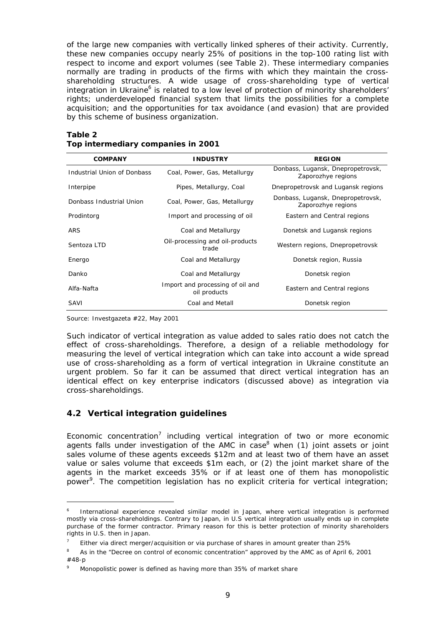of the large new companies with vertically linked spheres of their activity. Currently, these new companies occupy nearly 25% of positions in the top-100 rating list with respect to income and export volumes (see Table 2). These intermediary companies normally are trading in products of the firms with which they maintain the crossshareholding structures. A wide usage of cross-shareholding type of vertical integration in Ukraine<sup>6</sup> is related to a low level of protection of minority shareholders' rights; underdeveloped financial system that limits the possibilities for a complete acquisition; and the opportunities for tax avoidance (and evasion) that are provided by this scheme of business organization.

| <b>COMPANY</b>              | <b>INDUSTRY</b>                                  | <b>REGION</b>                                           |  |  |  |
|-----------------------------|--------------------------------------------------|---------------------------------------------------------|--|--|--|
| Industrial Union of Donbass | Coal, Power, Gas, Metallurgy                     | Donbass, Lugansk, Dnepropetrovsk,<br>Zaporozhye regions |  |  |  |
| Interpipe                   | Pipes, Metallurgy, Coal                          | Dnepropetrovsk and Lugansk regions                      |  |  |  |
| Donbass Industrial Union    | Coal, Power, Gas, Metallurgy                     | Donbass, Lugansk, Dnepropetrovsk,<br>Zaporozhye regions |  |  |  |
| Prodintorg                  | Import and processing of oil                     | Eastern and Central regions                             |  |  |  |
| <b>ARS</b>                  | Coal and Metallurgy                              | Donetsk and Lugansk regions                             |  |  |  |
| Sentoza LTD                 | Oil-processing and oil-products<br>trade         | Western regions, Dnepropetrovsk                         |  |  |  |
| Energo                      | Coal and Metallurgy                              | Donetsk region, Russia                                  |  |  |  |
| Danko                       | Coal and Metallurgy                              | Donetsk region                                          |  |  |  |
| Alfa-Nafta                  | Import and processing of oil and<br>oil products | Eastern and Central regions                             |  |  |  |
| SAVI                        | Coal and Metall                                  | Donetsk region                                          |  |  |  |

#### **Table 2 Top intermediary companies in 2001**

Source: Investgazeta #22, May 2001

ł

Such indicator of vertical integration as value added to sales ratio does not catch the effect of cross-shareholdings. Therefore, a design of a *reliable methodology* for *measuring the level of vertical integration* which can take into account a wide spread use of cross-shareholding as a form of vertical integration in Ukraine constitute an urgent problem. So far it can be assumed that direct vertical integration has an identical effect on key enterprise indicators (discussed above) as integration via cross-shareholdings.

#### **4.2 Vertical integration guidelines**

Economic concentration<sup>7</sup> including vertical integration of two or more economic agents falls under investigation of the AMC in case $^8$  when (1) joint assets or joint sales volume of these agents exceeds \$12m and at least two of them have an asset value or sales volume that exceeds \$1m each, or (2) the joint market share of the agents in the market exceeds 35% or if at least one of them has monopolistic power<sup>9</sup>. The competition legislation has no explicit criteria for vertical integration;

<sup>6</sup> International experience revealed similar model in Japan, where vertical integration is performed mostly via cross-shareholdings. Contrary to Japan, in U.S vertical integration usually ends up in complete purchase of the former contractor. Primary reason for this is better protection of minority shareholders rights in U.S. then in Japan.

<sup>7</sup> Either via direct merger/acquisition or via purchase of shares in amount greater than 25%

<sup>8</sup> As in the "Decree on control of economic concentration" approved by the AMC as of April 6, 2001 #48-p

<sup>9</sup> Monopolistic power is defined as having more than 35% of market share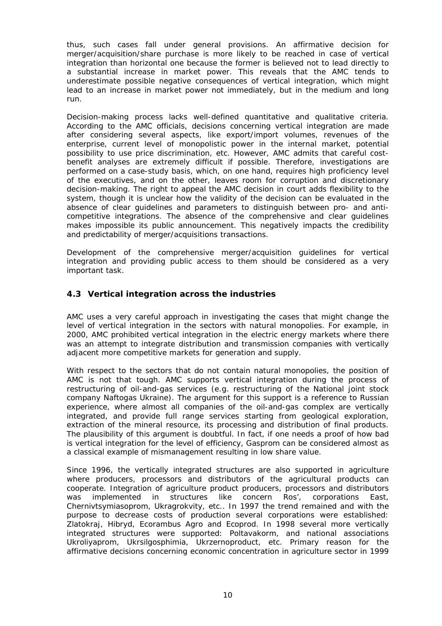thus, such cases fall under general provisions. An affirmative decision for merger/acquisition/share purchase is more likely to be reached in case of vertical integration than horizontal one because the former is believed not to lead directly to a substantial increase in market power. This reveals that the AMC tends to underestimate possible negative consequences of vertical integration, which might lead to an increase in market power not immediately, but in the medium and long run.

Decision-making process lacks well-defined quantitative and qualitative criteria. According to the AMC officials, decisions concerning vertical integration are made after considering several aspects, like export/import volumes, revenues of the enterprise, current level of monopolistic power in the internal market, potential possibility to use price discrimination, etc. However, AMC admits that careful costbenefit analyses are extremely difficult if possible. Therefore, investigations are performed on a case-study basis, which, on one hand, requires high proficiency level of the executives, and on the other, leaves room for corruption and discretionary decision-making. The right to appeal the AMC decision in court adds flexibility to the system, though it is unclear how the validity of the decision can be evaluated in the absence of clear guidelines and parameters to distinguish between pro- and anticompetitive integrations. The absence of the comprehensive and clear guidelines makes impossible its public announcement. This negatively impacts the credibility and predictability of merger/acquisitions transactions.

Development of the comprehensive merger/acquisition guidelines for vertical integration and providing public access to them should be considered as a very important task.

# **4.3 Vertical integration across the industries**

AMC uses a very careful approach in investigating the cases that might change the level of vertical integration in the sectors with natural monopolies. For example, in 2000, AMC prohibited vertical integration in the electric energy markets where there was an attempt to integrate distribution and transmission companies with vertically adjacent more competitive markets for generation and supply.

With respect to the sectors that do not contain natural monopolies, the position of AMC is not that tough. AMC supports vertical integration during the process of restructuring of oil-and-gas services (e.g. restructuring of the National joint stock company Naftogas Ukraine). The argument for this support is a reference to Russian experience, where almost all companies of the oil-and-gas complex are vertically integrated, and provide full range services starting from geological exploration, extraction of the mineral resource, its processing and distribution of final products. The plausibility of this argument is doubtful. In fact, if one needs a proof of how bad is vertical integration for the level of efficiency, Gasprom can be considered almost as a classical example of mismanagement resulting in low share value.

Since 1996, the vertically integrated structures are also supported in agriculture where producers, processors and distributors of the agricultural products can cooperate. Integration of agriculture product producers, processors and distributors was implemented in structures like concern Ros', corporations East, Chernivtsymiasoprom, Ukragrokvity, etc.. In 1997 the trend remained and with the purpose to decrease costs of production several corporations were established: Zlatokraj, Hibryd, Ecorambus Agro and Ecoprod. In 1998 several more vertically integrated structures were supported: Poltavakorm, and national associations Ukroliyaprom, Ukrsilgosphimia, Ukrzernoproduct, etc. Primary reason for the affirmative decisions concerning economic concentration in agriculture sector in 1999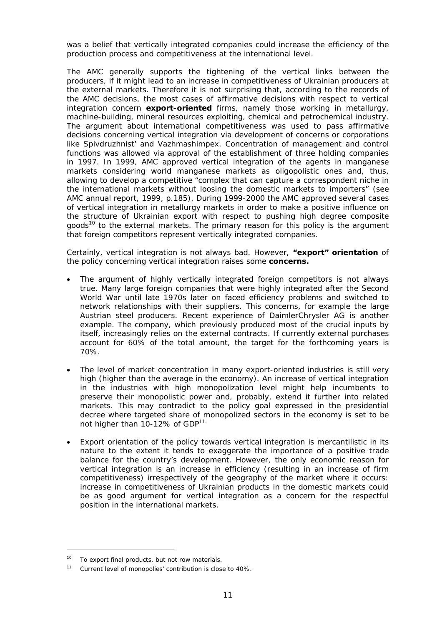was a belief that vertically integrated companies could increase the efficiency of the production process and competitiveness at the international level.

The AMC generally supports the tightening of the vertical links between the producers, if it might lead to an increase in competitiveness of Ukrainian producers at the external markets. Therefore it is not surprising that, according to the records of the AMC decisions, the most cases of affirmative decisions with respect to vertical integration concern *export-oriented* firms, namely those working in metallurgy, machine-building, mineral resources exploiting, chemical and petrochemical industry. The argument about international competitiveness was used to pass affirmative decisions concerning vertical integration via development of concerns or corporations like Spivdruzhnist' and Vazhmashimpex. Concentration of management and control functions was allowed via approval of the establishment of three holding companies in 1997. In 1999, AMC approved vertical integration of the agents in manganese markets considering world manganese markets as oligopolistic ones and, thus, allowing to develop a competitive "complex that can capture a correspondent niche in the international markets without loosing the domestic markets to importers" (see AMC annual report, 1999, p.185). During 1999-2000 the AMC approved several cases of vertical integration in metallurgy markets in order to make a positive influence on the structure of Ukrainian export with respect to pushing high degree composite goods<sup>10</sup> to the external markets. The primary reason for this policy is the argument that foreign competitors represent vertically integrated companies.

Certainly, vertical integration is not always bad. However, *"export" orientation* of the policy concerning vertical integration raises some *concerns.*

- The argument of highly vertically integrated foreign competitors is not always true. Many large foreign companies that were highly integrated after the Second World War until late 1970s later on faced efficiency problems and switched to network relationships with their suppliers. This concerns, for example the large Austrian steel producers. Recent experience of DaimlerChrysler AG is another example. The company, which previously produced most of the crucial inputs by itself, increasingly relies on the external contracts. If currently external purchases account for 60% of the total amount, the target for the forthcoming years is 70%.
- The level of market concentration in many export-oriented industries is still very high (higher than the average in the economy). An increase of vertical integration in the industries with high monopolization level might help incumbents to preserve their monopolistic power and, probably, extend it further into related markets. This may contradict to the policy goal expressed in the presidential decree where targeted share of monopolized sectors in the economy is set to be not higher than 10-12% of GDP<sup>11.</sup>
- Export orientation of the policy towards vertical integration is mercantilistic in its nature to the extent it tends to exaggerate the importance of a positive trade balance for the country's development. However, the only economic reason for vertical integration is an increase in efficiency (resulting in an increase of firm competitiveness) irrespectively of the geography of the market where it occurs: increase in competitiveness of Ukrainian products in the domestic markets could be as good argument for vertical integration as a concern for the respectful position in the international markets.

j.

<sup>&</sup>lt;sup>10</sup> To export final products, but not row materials.

<sup>11</sup> Current level of monopolies' contribution is close to 40%.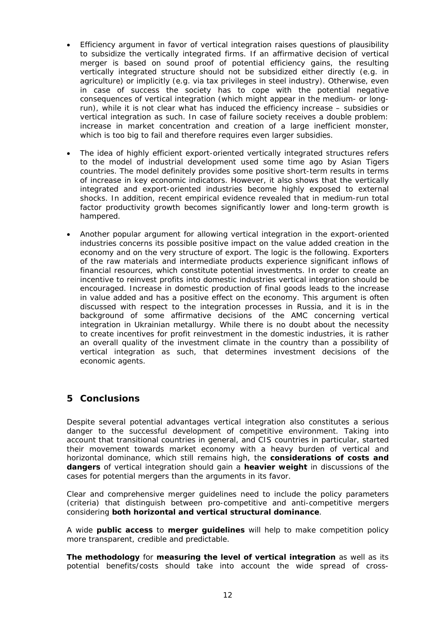- Efficiency argument in favor of vertical integration raises questions of plausibility to subsidize the vertically integrated firms. If an affirmative decision of vertical merger is based on sound proof of potential efficiency gains, the resulting vertically integrated structure should not be subsidized either directly (e.g. in agriculture) or implicitly (e.g. via tax privileges in steel industry). Otherwise, even in case of success the society has to cope with the potential negative consequences of vertical integration (which might appear in the medium- or longrun), while it is not clear what has induced the efficiency increase – subsidies or vertical integration as such. In case of failure society receives a double problem: increase in market concentration and creation of a large inefficient monster, which is too big to fail and therefore requires even larger subsidies.
- The idea of highly efficient export-oriented vertically integrated structures refers to the model of industrial development used some time ago by Asian Tigers countries. The model definitely provides some positive short-term results in terms of increase in key economic indicators. However, it also shows that the vertically integrated and export-oriented industries become highly exposed to external shocks. In addition, recent empirical evidence revealed that in medium-run total factor productivity growth becomes significantly lower and long-term growth is hampered.
- Another popular argument for allowing vertical integration in the export-oriented industries concerns its possible positive impact on the value added creation in the economy and on the very structure of export. The logic is the following. Exporters of the raw materials and intermediate products experience significant inflows of financial resources, which constitute potential investments. In order to create an incentive to reinvest profits into domestic industries vertical integration should be encouraged. Increase in domestic production of final goods leads to the increase in value added and has a positive effect on the economy. This argument is often discussed with respect to the integration processes in Russia, and it is in the background of some affirmative decisions of the AMC concerning vertical integration in Ukrainian metallurgy. While there is no doubt about the necessity to create incentives for profit reinvestment in the domestic industries, it is rather an overall quality of the investment climate in the country than a possibility of vertical integration as such, that determines investment decisions of the economic agents.

# **5 Conclusions**

Despite several potential advantages vertical integration also constitutes a serious danger to the successful development of competitive environment. Taking into account that transitional countries in general, and CIS countries in particular, started their movement towards market economy with a heavy burden of vertical and horizontal dominance, which still remains high, the *considerations of costs and dangers* of vertical integration should gain a *heavier weight* in discussions of the cases for potential mergers than the arguments in its favor.

Clear and comprehensive merger guidelines need to include the policy parameters (criteria) that distinguish between pro-competitive and anti-competitive mergers considering **both horizontal and vertical structural dominance**.

A wide *public access* to *merger guidelines* will help to make competition policy more transparent, credible and predictable.

*The methodology* for *measuring the level of vertical integration* as well as its potential benefits/costs should take into account the wide spread of cross